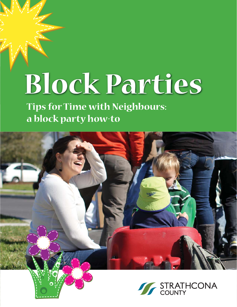# **Block Parties**

**Tips for Time with Neighbours: a block party how-to**



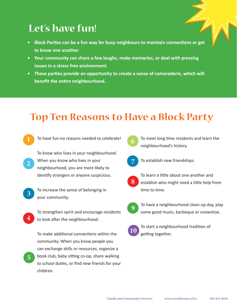## **Let's have fun!**

- **Block Parties can be a fun way for busy neighbours to maintain connections or get to know one another.**
- **Your community can share a few laughs, make memories, or deal with pressing issues in a stress free environment.**
- **•** These parties provide an opportunity to create a sense of camaraderie, which will **benefit the entire neighbourhood.**

## **Top Ten Reasons to Have a Block Party**

- To have fun-no reasons needed to celebrate!
- To know who lives in your neighbourhood. When you know who lives in your neighbourhood, you are more likely to identify strangers or anyone suspicious. **2**
- **3**

To increase the sense of belonging in your community.

**4**

**5**

To strengthen spirit and encourage residents to look after the neighbourhood.

To make additional connections within the community. When you know people you can exchange skills or resources, organize a book club, baby sitting co-op, share walking to school duties, or find new friends for your children.



To meet long time residents and learn the neighbourhood's history.



To establish new friendships.



To learn a little about one another and establish who might need a little help from time to time.



To have a neighbourhood clean-up day, play some good music, barbeque or snowshoe.



To start a neighbourhood tradition of getting together.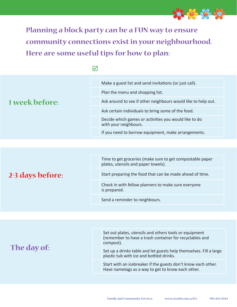

**Planning a block party can be a FUN way to ensure community connections exist in your neighbourhood. Here are some useful tips for how to plan:**

|                  |  | Make a guest list and send invitations (or just call).                                           |  |
|------------------|--|--------------------------------------------------------------------------------------------------|--|
|                  |  | Plan the menu and shopping list.                                                                 |  |
| 1 week before:   |  | Ask around to see if other neighbours would like to help out.                                    |  |
|                  |  | Ask certain individuals to bring some of the food.                                               |  |
|                  |  | Decide which games or activities you would like to do<br>with your neighbours.                   |  |
|                  |  | If you need to borrow equipment, make arrangements.                                              |  |
|                  |  |                                                                                                  |  |
|                  |  |                                                                                                  |  |
|                  |  | Time to get groceries (make sure to get compostable paper<br>plates, utensils and paper towels). |  |
| 2-3 days before: |  | Start preparing the food that can be made ahead of time.                                         |  |
|                  |  | Check in with fellow planners to make sure everyone<br>is prepared.                              |  |
|                  |  | Send a reminder to neighbours.                                                                   |  |

| The day of: | Set out plates, utensils and others tools or equipment<br>(remember to have a trash container for recyclables and<br>compost). |
|-------------|--------------------------------------------------------------------------------------------------------------------------------|
|             | Set up a drinks table and let guests help themselves. Fill a large<br>plastic tub with ice and bottled drinks.                 |
|             | Start with an icebreaker if the guests don't know each other.<br>Have nametags as a way to get to know each other.             |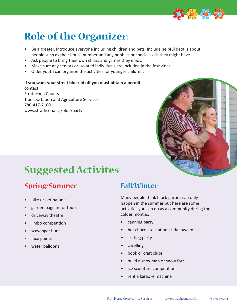

## **Role of the Organizer:**

- Be a greeter. Introduce everyone including children and pets. Include helpful details about people such as their house number and any hobbies or special skills they might have.
- Ask people to bring their own chairs and games they enjoy.
- Make sure any seniors or isolated individuals are included in the festivities.
- Older youth can organize the activities for younger children.

#### **If you want your street blocked off you must obtain a permit.**

contact: Strathcona County Transportation and Agriculture Services 780-417-7100 www.strathcona.ca/blockparty



## **Suggested Activites**

#### **Spring/Summer**

- bike or pet parade
- garden pageant or tours
- driveway theatre
- limbo competition
- scavenger hunt
- face paints
- water balloons

#### **Fall/Winter**

Many people think block parties can only happen in the summer but here are some activities you can do as a community during the colder months.

- canning party
- hot chocolate station at Halloween
- skating party
- **carolling**
- book or craft clubs
- build a snowman or snow fort
- ice sculpture competition
- rent a karaoke machine